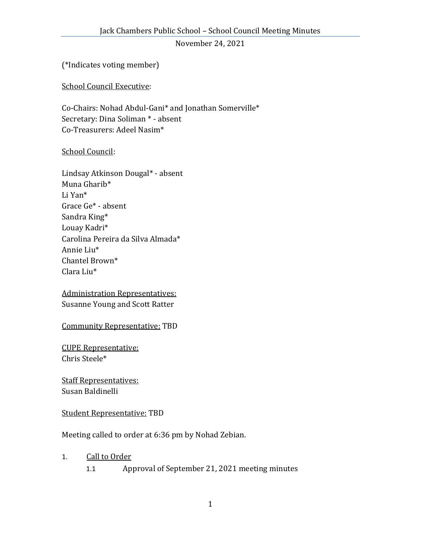November 24, 2021

(\*Indicates voting member)

School Council Executive:

Co-Chairs: Nohad Abdul-Gani\* and Jonathan Somerville\* Secretary: Dina Soliman \* - absent Co-Treasurers: Adeel Nasim\*

## School Council:

Lindsay Atkinson Dougal\* - absent Muna Gharib\* Li Yan\* Grace Ge\* - absent Sandra King\* Louay Kadri\* Carolina Pereira da Silva Almada\* Annie Liu\* Chantel Brown\* Clara Liu\*

Administration Representatives: Susanne Young and Scott Ratter

Community Representative: TBD

CUPE Representative: Chris Steele\*

Staff Representatives: Susan Baldinelli

## Student Representative: TBD

Meeting called to order at 6:36 pm by Nohad Zebian.

## 1. Call to Order

1.1 Approval of September 21, 2021 meeting minutes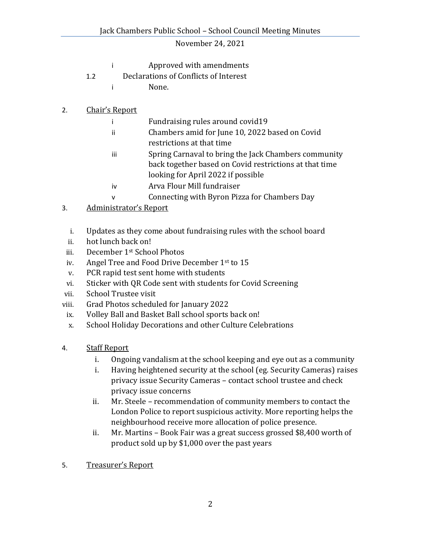## November 24, 2021

- i Approved with amendments
- 1.2 Declarations of Conflicts of Interest
	- i None.
- 2. Chair's Report
	- i Fundraising rules around covid19
	- ii Chambers amid for June 10, 2022 based on Covid
	- restrictions at that time
	- iii Spring Carnaval to bring the Jack Chambers community back together based on Covid restrictions at that time looking for April 2022 if possible
	- iv Arva Flour Mill fundraiser
	- v Connecting with Byron Pizza for Chambers Day
- 3. Administrator's Report
	- i. Updates as they come about fundraising rules with the school board
	- ii. hot lunch back on!
- iii. December 1st School Photos
- iv. Angel Tree and Food Drive December 1st to 15
- v. PCR rapid test sent home with students
- vi. Sticker with QR Code sent with students for Covid Screening
- vii. School Trustee visit
- viii. Grad Photos scheduled for January 2022
- ix. Volley Ball and Basket Ball school sports back on!
- x. School Holiday Decorations and other Culture Celebrations
- 4. Staff Report
	- i. Ongoing vandalism at the school keeping and eye out as a community
	- i. Having heightened security at the school (eg. Security Cameras) raises privacy issue Security Cameras – contact school trustee and check privacy issue concerns
	- ii. Mr. Steele recommendation of community members to contact the London Police to report suspicious activity. More reporting helps the neighbourhood receive more allocation of police presence.
	- ii. Mr. Martins Book Fair was a great success grossed \$8,400 worth of product sold up by \$1,000 over the past years
- 5. Treasurer's Report